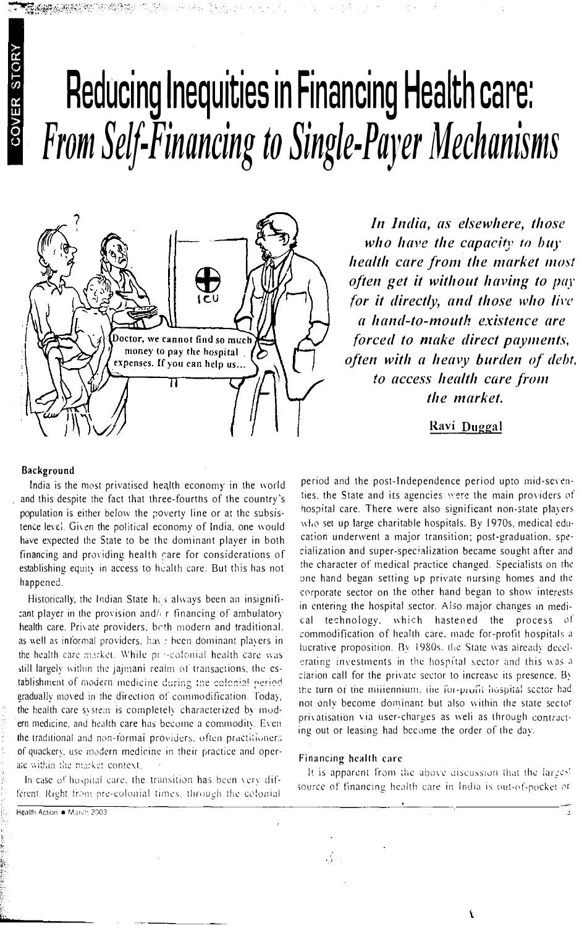## Reducing Inequities in Financing Health care: From Self-Financing to Single-Payer Mechanisms



In India, as elsewhere, those who have the capacity to buy health care from the market most often get it without having to pay for it directly, and those who live a hand-to-mouth existence are forced to make direct payments, often with a heavy burden of debt, to access health care from the market.

Ravi Duggal

## Background

COVER STORY

India is the most privatised health economy in the world and this despite the fact that three-fourths of the country's population is either below the poverty line or at the subsistence level. Given the political economy of India, one would have expected the State to be the dominant player in both financing and providing health care for considerations of establishing equity in access to health care. But this has not happened.

Historically, the Indian State has always been an insignificant player in the provision and/ r financing of ambulatory health care. Private providers, both modern and traditional. as well as informal providers, have been dominant players in the health care market. While pro-colonial health care was still largely within the jajmani realm of transactions, the establishment of modern medicine during the colonial period gradually moved in the direction of commodification. Today, the health care system is completely characterized by modern medicine, and health care has become a commodity. Even the traditional and non-formal providers, often practitioners of quackery, use modern medicine in their practice and operate within the market context.

In case of hospital care, the transition has been very different. Right from pre-colonial times, through the colonial

period and the post-Independence period upto mid-seventies, the State and its agencies were the main providers of hospital care. There were also significant non-state players who set up large charitable hospitals. By 1970s, medical education underwent a major transition; post-graduation, specialization and super-specialization became sought after and the character of medical practice changed. Specialists on the one hand began setting up private nursing homes and the corporate sector on the other hand began to show interests in entering the hospital sector. Also major changes in medical technology, which hastened the process of commodification of health care, made for-profit hospitals a lucrative proposition. By 1980s, the State was already decelerating investments in the hospital sector and this was a clarion call for the private sector to increase its presence. By the turn of the millennium, the for-profit hospital sector had not only become dominant but also within the state sector privatisation via user-charges as well as through contracting out or leasing had become the order of the day.

## Financing health care

It is apparent from the above discussion that the larges! source of financing health care in India is out-of-pocket or

Ł

Health Action · March 2003  $\mathcal{L} \rightarrow$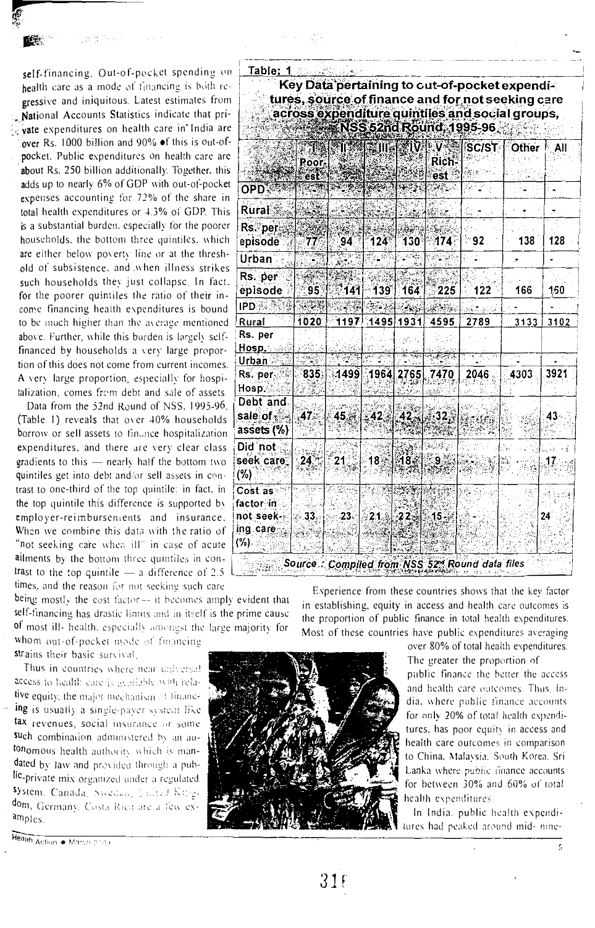self-financing. Out-of-pocket spending on health care as a mode of financing is both regressive and iniquitous. Latest estimates from National Accounts Statistics indicate that private expenditures on health care in India are over Rs. 1000 billion and 90% of this is out-ofpocket. Public expenditures on health care are about Rs. 250 billion additionally. Together, this adds up to nearly 6% of GDP with out-of-pocket expenses accounting for 72% of the share in total health expenditures or 4.3% of GDP. This is a substantial burden, especially for the poorer households, the bottom three quintiles, which are either below poverty line or at the threshold of subsistence, and when illness strikes such households they just collapse. In fact, for the poorer quintiles the ratio of their income financing health expenditures is bound to be much higher than the average mentioned above. Further, while this burden is largely selffinanced by households a very large proportion of this does not come from current incomes. A very large proportion, especially for hospitalization, comes from debt and sale of assets.

Data from the 52nd Round of NSS, 1995-96. (Table 1) reveals that over 40% households borrow or sell assets to finance hospitalization expenditures, and there are very clear class gradients to this - nearly half the bottom two quintiles get into debt and/or sell assets in contrast to one-third of the top quintile: in fact, in the top quintile this difference is supported by employer-reimbursentents and insurance. When we combine this data with the ratio of "not seeking care when ill" in case of acute allments by the bottom three quintiles in contrast to the top quintile  $-$  a difference of 2.5 times, and the reason for not seeking such care

being mostly the cost factor-- it becomes amply evident that self-financing has drastic limits and in itself is the prime cause of most ill- health, especially amongst the large majority for

whom out-of-pocket mode of financing strains their basic survival.

Thus in countries where near universal access to health care is available with relative equity, the major mechanism of financing is usually a single-payer system like tax revenues, social insurance or some such combination administered by an autonomous health authority which is mandated by law and provided through a public-private mix organized under a regulated System, Canada, Sweden, United Kingdom, Germany, Costa Rica are a few examples.

Health Action . March 2004

| Table: 1                                          |                        |                                   |                             |      |              | Key Data pertaining to out-of-pocket expendi-<br>tures, source of finance and for not seeking care<br>across expenditure quintiles and social groups,<br>NSS 52nd Round, 1995-96 |      |        |
|---------------------------------------------------|------------------------|-----------------------------------|-----------------------------|------|--------------|----------------------------------------------------------------------------------------------------------------------------------------------------------------------------------|------|--------|
|                                                   |                        |                                   |                             |      |              |                                                                                                                                                                                  |      | N All: |
|                                                   | Poor-<br>est           |                                   |                             |      | Rich-<br>est |                                                                                                                                                                                  |      |        |
| <b>OPD</b>                                        |                        |                                   |                             |      |              |                                                                                                                                                                                  |      |        |
| Rural                                             |                        |                                   |                             |      |              |                                                                                                                                                                                  |      |        |
| Rs per<br>episode                                 | 77                     | 94                                | 124                         | 130° | 474          | ി92.                                                                                                                                                                             | 138  | 128    |
| <b>Urban</b>                                      |                        |                                   |                             |      |              |                                                                                                                                                                                  |      |        |
| Rs. per<br>episode                                | 95                     | 141                               | 139                         | 164  | 225          | 122                                                                                                                                                                              | 166  | 150    |
| <b>IPD</b>                                        |                        |                                   |                             |      |              |                                                                                                                                                                                  |      |        |
| Rural                                             | 1020                   |                                   | $1197$ $1495$ $1931$ $4595$ |      |              | 2789                                                                                                                                                                             | 3133 | 3102   |
| Rs. per<br>Hosp.                                  |                        |                                   |                             |      |              |                                                                                                                                                                                  |      |        |
| <u>Urban S</u><br>Rs. per<br>Hosp.                |                        | $835$ $1499$ $1964$ $2765$ $7470$ |                             |      |              | 2046                                                                                                                                                                             | 4303 | 3921   |
| Debt and<br>sale of $\mathbb{R}$<br>assets $(\%)$ | .47.                   |                                   | $45 - 42$ $42 - 32$         |      |              |                                                                                                                                                                                  |      | 43.    |
| Did not<br>seek care,<br>(%)                      | 24.                    | 21                                | 18 18 18 3                  |      | :9.          |                                                                                                                                                                                  |      | 17     |
| Cost as<br>factor in<br>not seek »                | $\mathbb{R} \times 33$ | - 23.                             | - 21.8 22. 1. 15.           |      |              |                                                                                                                                                                                  |      | 24     |
| ing care<br>$(\%)$                                |                        |                                   |                             |      |              |                                                                                                                                                                                  |      |        |

Experience from these countries shows that the key factor in establishing, equity in access and health care outcomes is the proportion of public finance in total health expenditures. Most of these countries have public expenditures averaging



over 80% of total health expenditures.

The greater the proportion of

public finance the better the access and health care outcomes. Thus, India, where public finance accounts for only 20% of total health expenditures, has poor equity in access and health care outcomes in comparison to China, Malaysia. South Korea. Sri Lanka where public finance accounts for between 30% and 60% of total health expenditures.

In India, public health expenditures had peaked around mid- nine-

ć,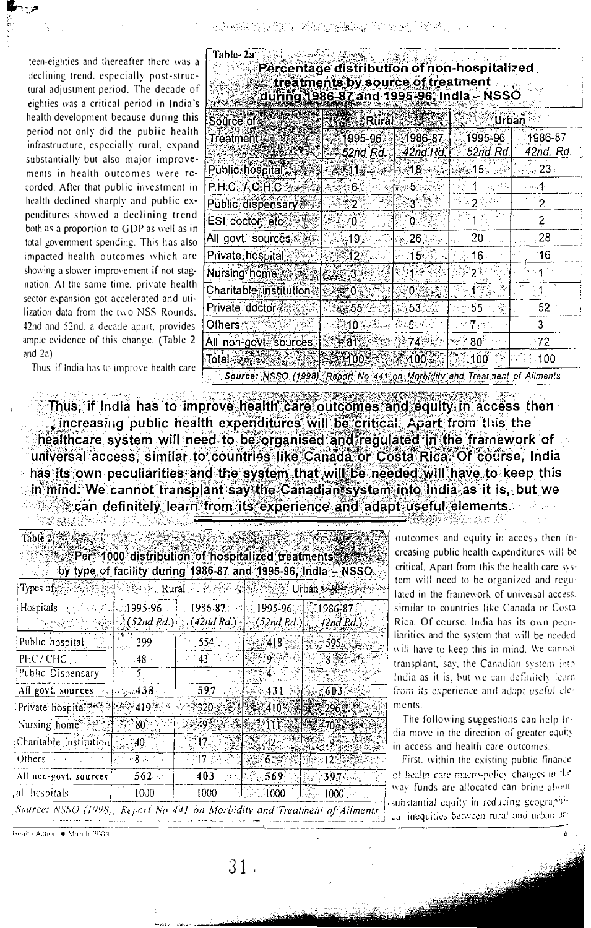teen-eighties and thereafter there was a declining trend, especially post-structural adjustment period. The decade of eighties was a critical period in India's health development because during this period not only did the public health infrastructure, especially rural, expand substantially but also major improvements in health outcomes were recorded. After that public investment in health declined sharply and public expenditures showed a declining trend both as a proportion to GDP as well as in total government spending. This has also impacted health outcomes which are showing a slower improvement if not stagnation. At the same time, private health sector expansion got accelerated and utilization data from the two NSS Rounds, 42nd and 52nd, a decade apart, provides ample evidence of this change. (Table 2) and  $2a$ )

| Table- 2a<br>Percentage distribution of non-hospitalized<br>treatments by source of treatment<br>during 1986-87 and 1995-96, India – NSSO |                        |                     |                           |                      |  |  |
|-------------------------------------------------------------------------------------------------------------------------------------------|------------------------|---------------------|---------------------------|----------------------|--|--|
| Source of                                                                                                                                 | Rural                  |                     | Urban                     |                      |  |  |
| Treatment                                                                                                                                 | $995 - 96.$<br>52nd Rd | 1986-87<br>42nd.Rd. | 1995-96<br>52nd Rd.       | 1986-87<br>42nd. Rd. |  |  |
| Public hospital                                                                                                                           | 611.∉ั…∞⊹≯             | ≱∉18 સહન            | ಸಿನ್ನಡೆ <b>15</b> ರ ನಡೆಸಿ | $\sim 23$ .          |  |  |
| P.H.C. / C.H.C                                                                                                                            | ి 6∵                   | ్ 5                 | le sit.                   | - 554                |  |  |
| Public dispensary                                                                                                                         |                        | $3^{\circ}$         |                           | 2                    |  |  |
| ESI doctor, etc <sup>2</sup>                                                                                                              | n                      | 0                   |                           | 2                    |  |  |
| All govt sources:                                                                                                                         | 19.                    | 26                  | 20                        | 28                   |  |  |
| Private hospital                                                                                                                          | 12                     | 15.                 | 16.                       | `16                  |  |  |
| Nursing home                                                                                                                              | З.                     |                     |                           |                      |  |  |
| <b>Charitable institution</b>                                                                                                             | ≪ O`                   |                     |                           |                      |  |  |
| Private doctor                                                                                                                            | ు శ్రీ 55              | 53.                 | 55                        | 52                   |  |  |
| Others                                                                                                                                    | 10⊰                    | ਂ 5ੁ                |                           | 3                    |  |  |
| All non-govt, sources                                                                                                                     | $7.81\%$               | ੇ74ੈੱ               | $80^\circ$                | 272                  |  |  |
| Total⊗ঞ্জৈ≩                                                                                                                               | 1003                   | 100:                | 100                       | 100                  |  |  |
| Source: NSSO (1998). Report No. 441 on Morbidity and Treat nent of Ailments                                                               |                        |                     |                           |                      |  |  |

400 - 대학부, 7월부의 사업은 700 3월 전 관계까지 있다.

Thus, if India has to improve health care

Thus, if India has to improve health care outcomes and equity in access then . increasing public health expenditures will be critical. Apart from this the healthcare system will need to be organised and regulated in the framework of universal access, similar to countries like Canada or Costa Rica. Of course, India has its own peculiarities and the system that will be needed will have to keep this in mind. We cannot transplant say the Canadian system into India as it is, but we can definitely learn from its experience and adapt useful elements. - TA 승규는 정부 1943년 1949년 1월 2일 전부 10월 2일<br>대한민국의 대한민국의 대한민국의 대한민국의 대한민국의 대한민국의 대한민국의 대한민국의 대한민국의 대한민국의 대한민국의 대한민국의 대한민국의 대한민국의 대한민국의 대한민국의 대한민국의 대한민국의 대

| Table 2: 25 and                                                                                                        |                                                 |                                                                                                                                                                                                                                                                                                         |                                                                                                  |                                                               |  |  |
|------------------------------------------------------------------------------------------------------------------------|-------------------------------------------------|---------------------------------------------------------------------------------------------------------------------------------------------------------------------------------------------------------------------------------------------------------------------------------------------------------|--------------------------------------------------------------------------------------------------|---------------------------------------------------------------|--|--|
| Per 1000 distribution of hospitalized treatments and                                                                   |                                                 |                                                                                                                                                                                                                                                                                                         |                                                                                                  | by type of facility during 1986-87 and 1995-96, India - NSSO. |  |  |
| Types of <b>Allenger Action Acts and Acts of Acts and Acts of Acts of Acts of Acts of Acts of Acts of Acts of Acts</b> |                                                 |                                                                                                                                                                                                                                                                                                         |                                                                                                  |                                                               |  |  |
| Hospitals                                                                                                              | 3.海运、北加995-96。                                  | $\sim 1986$ -87 $\sim$ $\sim$ 1995-96 $\sim$ 10 1986-87 $\sim$<br>$\ket{\{1,2,3,4,5,5,6,6,7\}}$ (42nd Rd.) $\ket{\{2,4,4,6,6,7,6,8,6,7,6,7,7,8,6,7,8,6,7,7,7,8,6,7,8,6,7,7,8,6,7,7,8,6,7,7,8,6,7,7,8,6,7,7,7,8,8,6,7,7,7,8,6,7,7,8,6,7,7,8,6,7,7,8,6,7,7,8,6,7,7,8,6,7,7,8,6,7,7,8,6,7,7,8,6,7,8,6,7,7$ |                                                                                                  |                                                               |  |  |
| Public hospital                                                                                                        | - 399 -                                         | $554$ and $\sim$                                                                                                                                                                                                                                                                                        | శమి418 - 1 శమి595,                                                                               |                                                               |  |  |
| PHC/CHC                                                                                                                | $-48$                                           | $43^{\circ}$                                                                                                                                                                                                                                                                                            |                                                                                                  | ି ମାଟି                                                        |  |  |
| Public Dispensary                                                                                                      |                                                 |                                                                                                                                                                                                                                                                                                         | સ્ટજ્∷ ∡િલ<br>55                                                                                 |                                                               |  |  |
| All govt. sources $\mathbb{R}$ , $\{a\otimes a\}$ 438:                                                                 |                                                 | 59.7                                                                                                                                                                                                                                                                                                    | <b>SAGA31</b>                                                                                    | A 6034                                                        |  |  |
|                                                                                                                        |                                                 | *320 : FAI - 410 *                                                                                                                                                                                                                                                                                      |                                                                                                  | 播交296.                                                        |  |  |
| Nursing home                                                                                                           | 80 <sup>°</sup>                                 |                                                                                                                                                                                                                                                                                                         | 49 - 第19 11 143                                                                                  | 《怜愁茶70~\$~姿*                                                  |  |  |
| Charitable institution $\lesssim 40$                                                                                   |                                                 |                                                                                                                                                                                                                                                                                                         | $\mathbb{R}$ $\mathbb{R}$ $425$                                                                  | <b>YEGIOREA</b>                                               |  |  |
| Others<br>化苯基酸                                                                                                         | $\mathbb{R}^n \times \mathbf{8}$ . $\mathbb{R}$ | 17 <sup>2</sup>                                                                                                                                                                                                                                                                                         | $\sqrt[3]{5}$ $6$ $\sqrt[3]{5}$                                                                  | 12558                                                         |  |  |
| All non-govt. sources                                                                                                  | 562                                             | 403.                                                                                                                                                                                                                                                                                                    | $\approx$ $\approx$ $\approx$ 569.                                                               | <b>AGE 297</b>                                                |  |  |
| all hospitals.                                                                                                         | $1000 -$                                        | 1000                                                                                                                                                                                                                                                                                                    | $\scriptstyle{\stackrel{+}{\scriptstyle{-}}}$ 1000 $\scriptstyle{\stackrel{+}{\scriptstyle{0}}}$ | 1000                                                          |  |  |
| Source: NSSO (1998): Report No 441 on Morbidity and Treatment of Ailments                                              |                                                 |                                                                                                                                                                                                                                                                                                         |                                                                                                  |                                                               |  |  |

 $31<sup>2</sup>$ 

122 위험 2016

outcomes and equity in access then increasing public health expenditures will be critical. Apart from this the health care system will need to be organized and regulated in the framework of universal access. similar to countries like Canada or Costa Rica. Of course, India has its own peculiarities and the system that will be needed will have to keep this in mind. We cannot transplant, say, the Canadian system into India as it is, but we can definitely learn from its experience and adapt useful clements.

The following suggestions can help India move in the direction of greater equity in access and health care outcomes.

First, within the existing public finance of health care macro-policy changes in the way funds are allocated can bring about substantial equity in reducing geographical inequities between rural and urban ar-

Health Action . March 2003